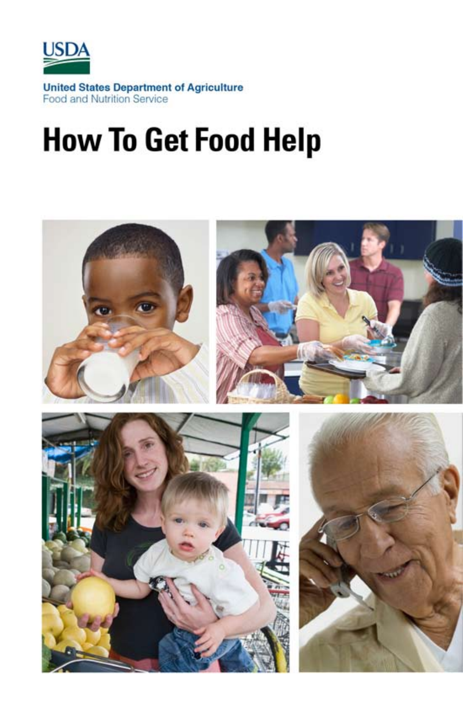

# **How To Get Food Help**

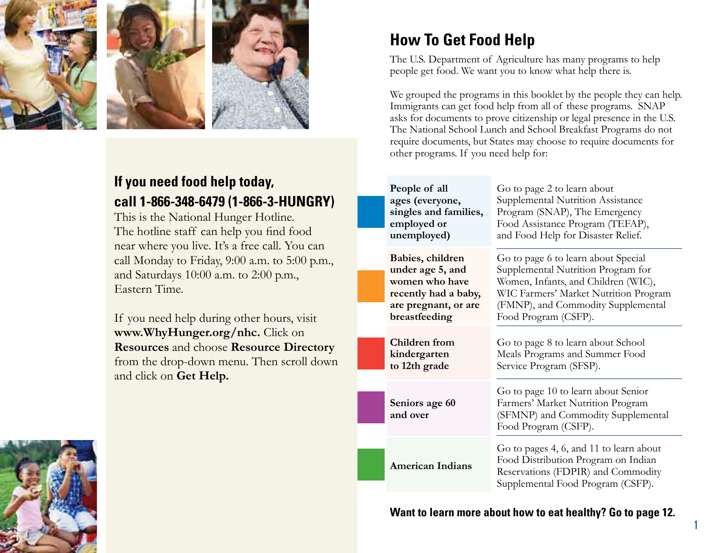

## **If you need food help today, call 1-866-348-6479 (1-866-3-HUNGRY)**

This is the National Hunger Hotline. The hotline staff can help you find food near where you live. It's a free call. You can call Monday to Friday, 9:00 a.m. to 5:00 p.m., and Saturdays 10:00 a.m. to 2:00 p.m., Eastern Time.

 **Resources** and choose **Resource Directory** If you need help during other hours, visit **[www.WhyHunger.org/nhc.](www.WhyHunger.org/nhc)** Click on from the drop-down menu. Then scroll down and click on **Get Help.** 

## **How To Get Food Help**

The U.S. Department of Agriculture has many programs to help people get food. We want you to know what help there is.

We grouped the programs in this booklet by the people they can help. Immigrants can get food help from all of these programs. SNAP asks for documents to prove citizenship or legal presence in the U.S. The National School Lunch and School Breakfast Programs do not require documents, but States may choose to require documents for other programs. If you need help for:

| People of all<br>ages (everyone,<br>singles and families,<br>employed or<br>unemployed) | Go to page 2 to learn about<br>Supplemental Nutrition Assistance<br>Program (SNAP), The Emergency<br>Food Assistance Program (TEFAP),<br>and Food Help for Disaster Relief. |
|-----------------------------------------------------------------------------------------|-----------------------------------------------------------------------------------------------------------------------------------------------------------------------------|
| Babies, children<br>under age 5, and                                                    | Go to page 6 to learn about Special<br>Supplemental Nutrition Program for                                                                                                   |
| women who have                                                                          | Women, Infants, and Children (WIC),                                                                                                                                         |
| recently had a baby,                                                                    | WIC Farmers' Market Nutrition Program                                                                                                                                       |
| are pregnant, or are<br>breastfeeding                                                   | (FMNP), and Commodity Supplemental<br>Food Program (CSFP).                                                                                                                  |
| Children from<br>kindergarten<br>to 12th grade                                          | Go to page 8 to learn about School<br>Meals Programs and Summer Food<br>Service Program (SFSP).                                                                             |
| Seniors age 60<br>and over                                                              | Go to page 10 to learn about Senior<br>Farmers' Market Nutrition Program<br>(SFMNP) and Commodity Supplemental<br>Food Program (CSFP).                                      |
|                                                                                         |                                                                                                                                                                             |
| <b>American Indians</b>                                                                 | Go to pages 4, 6, and 11 to learn about<br>Food Distribution Program on Indian<br>Reservations (FDPIR) and Commodity                                                        |
|                                                                                         | Supplemental Food Program (CSFP).                                                                                                                                           |

**Want to learn more about how to eat healthy? Go to page 12.** 

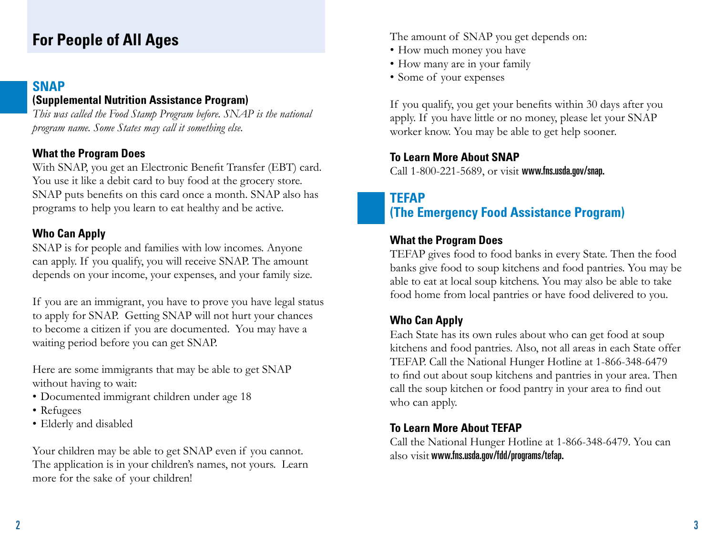## **For People of All Ages**

#### **SNAP**

#### **(Supplemental Nutrition Assistance Program)**

*This was called the Food Stamp Program before. SNAP is the national program name. Some States may call it something else.* 

#### **What the Program Does**

With SNAP, you get an Electronic Benefit Transfer (EBT) card. You use it like a debit card to buy food at the grocery store. SNAP puts benefits on this card once a month. SNAP also has programs to help you learn to eat healthy and be active.

#### **Who Can Apply**

SNAP is for people and families with low incomes. Anyone can apply. If you qualify, you will receive SNAP. The amount depends on your income, your expenses, and your family size.

If you are an immigrant, you have to prove you have legal status to apply for SNAP. Getting SNAP will not hurt your chances to become a citizen if you are documented. You may have a waiting period before you can get SNAP.

Here are some immigrants that may be able to get SNAP without having to wait:

- Documented immigrant children under age 18
- Refugees
- Elderly and disabled

Your children may be able to get SNAP even if you cannot. The application is in your children's names, not yours. Learn more for the sake of your children!

The amount of SNAP you get depends on:

- How much money you have
- How many are in your family
- Some of your expenses

If you qualify, you get your benefits within 30 days after you apply. If you have little or no money, please let your SNAP worker know. You may be able to get help sooner.

### **To Learn More About SNAP**

Call 1-800-221-5689, or visit <www.fns.usda.gov/snap>.

## **TEFAP (The Emergency Food Assistance Program)**

#### **What the Program Does**

TEFAP gives food to food banks in every State. Then the food banks give food to soup kitchens and food pantries. You may be able to eat at local soup kitchens. You may also be able to take food home from local pantries or have food delivered to you.

## **Who Can Apply**

Each State has its own rules about who can get food at soup kitchens and food pantries. Also, not all areas in each State offer TEFAP. Call the National Hunger Hotline at 1-866-348-6479 to find out about soup kitchens and pantries in your area. Then call the soup kitchen or food pantry in your area to find out who can apply.

## **To Learn More About TEFAP**

Call the National Hunger Hotline at 1-866-348-6479. You can also visit <www.fns.usda.gov/fdd/programs/tefap>.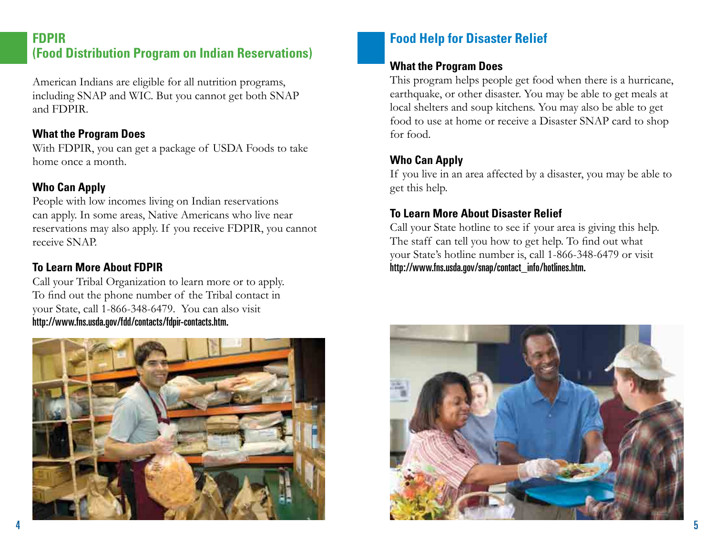#### **FDPIR (Food Distribution Program on Indian Reservations)**

American Indians are eligible for all nutrition programs, including SNAP and WIC. But you cannot get both SNAP and FDPIR.

#### **What the Program Does**

With FDPIR, you can get a package of USDA Foods to take home once a month.

#### **Who Can Apply**

People with low incomes living on Indian reservations can apply. In some areas, Native Americans who live near reservations may also apply. If you receive FDPIR, you cannot receive SNAP. **FOOD Distribution Program on Indian Reservations)**<br>
American Indians are eligible for all nutrition programs,<br>
This program helps people get food<br>
and FDPIR.<br>
and FDPIR, you can also agence to USDA Foods to take<br> **What th** 

#### **To Learn More About FDPIR**

http://www.fns.usda.gov/fdd/contacts/fdpir-contacts.htm. Call your Tribal Organization to learn more or to apply. To find out the phone number of the Tribal contact in your State, call 1-866-348-6479. You can also visit



#### **What the Program Does**

This program helps people get food when there is a hurricane, earthquake, or other disaster. You may be able to get meals at local shelters and soup kitchens. You may also be able to get food to use at home or receive a Disaster SNAP card to shop for food.

#### **Who Can Apply**

If you live in an area affected by a disaster, you may be able to get this help.

#### **To Learn More About Disaster Relief**

Call your State hotline to see if your area is giving this help. The staff can tell you how to get help. To find out what your State's hotline number is, call 1-866-348-6479 or visit

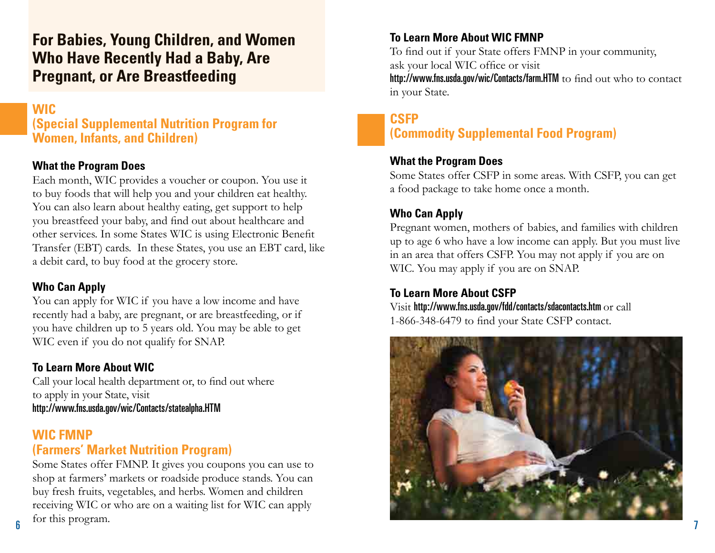## **For Babies, Young Children, and Women Who Have Recently Had a Baby, Are Pregnant, or Are Breastfeeding**

#### **WIC**

**(Special Supplemental Nutrition Program for Women, Infants, and Children)** 

#### **What the Program Does**

Each month, WIC provides a voucher or coupon. You use it to buy foods that will help you and your children eat healthy. You can also learn about healthy eating, get support to help you breastfeed your baby, and find out about healthcare and other services. In some States WIC is using Electronic Benefit Transfer (EBT) cards. In these States, you use an EBT card, like a debit card, to buy food at the grocery store.

#### **Who Can Apply**

You can apply for WIC if you have a low income and have recently had a baby, are pregnant, or are breastfeeding, or if you have children up to 5 years old. You may be able to get WIC even if you do not qualify for SNAP.

#### **To Learn More About WIC**

Call your local health department or, to find out where to apply in your State, visit <http://www.fns.usda.gov/wic/Contacts/statealpha.HTM>

#### **WIC FMNP (Farmers' Market Nutrition Program)**

Some States offer FMNP. It gives you coupons you can use to shop at farmers' markets or roadside produce stands. You can buy fresh fruits, vegetables, and herbs. Women and children receiving WIC or who are on a waiting list for WIC can apply for this program.

#### **To Learn More About WIC FMNP**

To find out if your State offers FMNP in your community, ask your local WIC office or visit <http://www.fns.usda.gov/wic/Contacts/farm.HTM> to find out who to contact in your State.

#### **CSFP (Commodity Supplemental Food Program)**

#### **What the Program Does**

Some States offer CSFP in some areas. With CSFP, you can get a food package to take home once a month.

#### **Who Can Apply**

Pregnant women, mothers of babies, and families with children up to age 6 who have a low income can apply. But you must live in an area that offers CSFP. You may not apply if you are on WIC. You may apply if you are on SNAP.

#### **To Learn More About CSFP**

Visit <http://www.fns.usda.gov/fdd/contacts/sdacontacts.htm> or call 1-866-348-6479 to find your State CSFP contact.

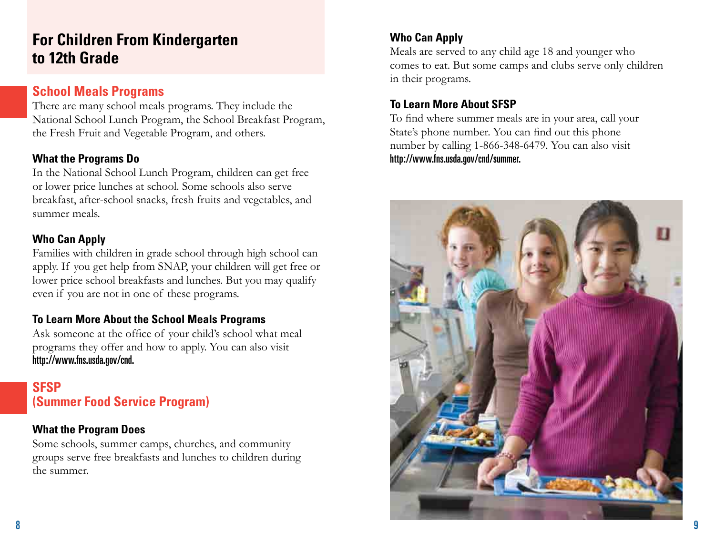## **For Children From Kindergarten to 12th Grade**

#### **School Meals Programs**

There are many school meals programs. They include the National School Lunch Program, the School Breakfast Program, the Fresh Fruit and Vegetable Program, and others.

#### **What the Programs Do**

In the National School Lunch Program, children can get free or lower price lunches at school. Some schools also serve breakfast, after-school snacks, fresh fruits and vegetables, and summer meals.

#### **Who Can Apply**

Families with children in grade school through high school can apply. If you get help from SNAP, your children will get free or lower price school breakfasts and lunches. But you may qualify even if you are not in one of these programs.

#### **To Learn More About the School Meals Programs**

Ask someone at the office of your child's school what meal programs they offer and how to apply. You can also visit <http://www.fns.usda.gov/cnd>.

### **SFSP (Summer Food Service Program)**

#### **What the Program Does**

Some schools, summer camps, churches, and community groups serve free breakfasts and lunches to children during the summer.

#### **Who Can Apply**

Meals are served to any child age 18 and younger who comes to eat. But some camps and clubs serve only children in their programs.

#### **To Learn More About SFSP**

To find where summer meals are in your area, call your State's phone number. You can find out this phone number by calling 1-866-348-6479. You can also visit [http://www.fns.usda.gov/cnd/summer.](http://www.fns.usda.gov/cnd/summer)

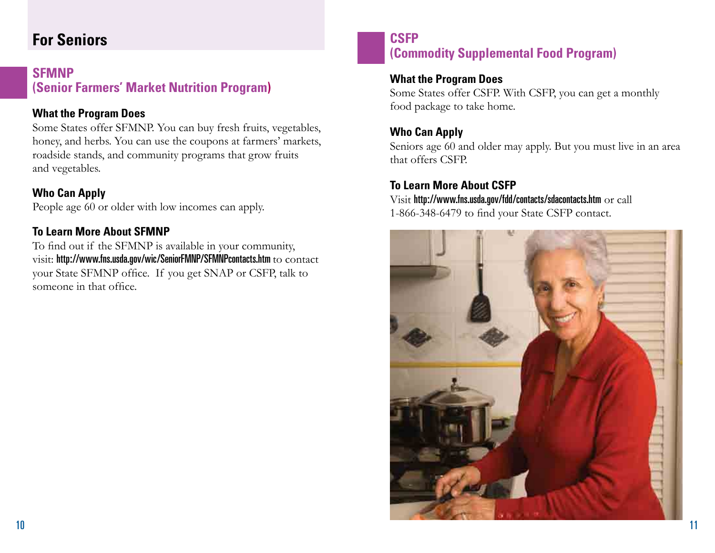## **For Seniors**

#### **SFMNP (Senior Farmers' Market Nutrition Program)**

#### **What the Program Does**

Some States offer SFMNP. You can buy fresh fruits, vegetables, honey, and herbs. You can use the coupons at farmers' markets, roadside stands, and community programs that grow fruits and vegetables.

#### **Who Can Apply**

People age 60 or older with low incomes can apply.

#### **To Learn More About SFMNP**

To find out if the SFMNP is available in your community, visit: <http://www.fns.usda.gov/wic/SeniorFMNP/SFMNPcontacts.htm>to contact your State SFMNP office. If you get SNAP or CSFP, talk to someone in that office.

#### **CSFP (Commodity Supplemental Food Program)**

#### **What the Program Does**

Some States offer CSFP. With CSFP, you can get a monthly food package to take home.

#### **Who Can Apply**

Seniors age 60 and older may apply. But you must live in an area that offers CSFP.

#### **To Learn More About CSFP**

Visit <http://www.fns.usda.gov/fdd/contacts/sdacontacts.htm> or call 1-866-348-6479 to find your State CSFP contact.

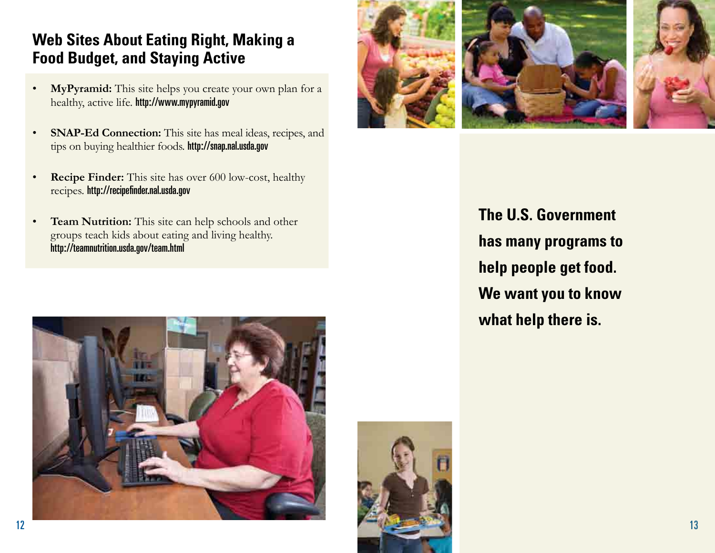## **Web Sites About Eating Right, Making a Food Budget, and Staying Active**

- **MyPyramid:** This site helps you create your own plan for a healthy, active life. <http://www.mypyramid.gov>
- **SNAP-Ed Connection:** This site has meal ideas, recipes, and tips on buying healthier foods. <http://snap.nal.usda.gov>
- **Recipe Finder:** This site has over 600 low-cost, healthy recipes. [http://recipefnder.nal.usda.gov](http://recipefinder.nal.usda.gov)
- **Team Nutrition:** This site can help schools and other groups teach kids about eating and living healthy. <http://teamnutrition.usda.gov/team.html>







**The U.S. Government has many programs to help people get food. We want you to know what help there is.**